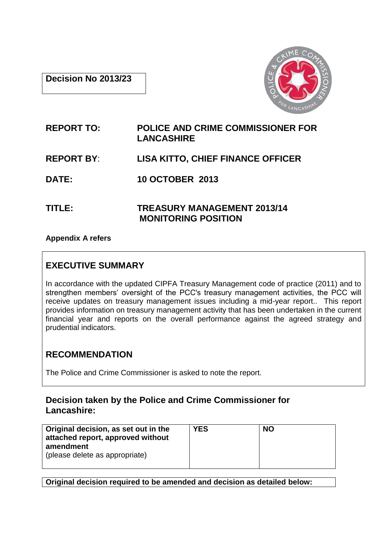**Decision No 2013/23**



# **REPORT TO: POLICE AND CRIME COMMISSIONER FOR LANCASHIRE**

# **REPORT BY**: **LISA KITTO, CHIEF FINANCE OFFICER**

**DATE: 10 OCTOBER 2013**

**TITLE: TREASURY MANAGEMENT 2013/14 MONITORING POSITION**

**Appendix A refers**

## **EXECUTIVE SUMMARY**

In accordance with the updated CIPFA Treasury Management code of practice (2011) and to strengthen members' oversight of the PCC's treasury management activities, the PCC will receive updates on treasury management issues including a mid-year report.. This report provides information on treasury management activity that has been undertaken in the current financial year and reports on the overall performance against the agreed strategy and prudential indicators.

# **RECOMMENDATION**

The Police and Crime Commissioner is asked to note the report.

## **Decision taken by the Police and Crime Commissioner for Lancashire:**

| Original decision, as set out in the<br>attached report, approved without<br>amendment<br>(please delete as appropriate) | <b>YES</b> | <b>NO</b> |
|--------------------------------------------------------------------------------------------------------------------------|------------|-----------|
|                                                                                                                          |            |           |

**Original decision required to be amended and decision as detailed below:**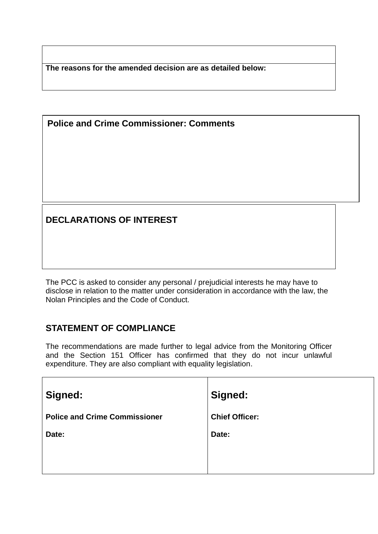**The reasons for the amended decision are as detailed below:**

**Police and Crime Commissioner: Comments**

# **DECLARATIONS OF INTEREST**

The PCC is asked to consider any personal / prejudicial interests he may have to disclose in relation to the matter under consideration in accordance with the law, the Nolan Principles and the Code of Conduct.

# **STATEMENT OF COMPLIANCE**

The recommendations are made further to legal advice from the Monitoring Officer and the Section 151 Officer has confirmed that they do not incur unlawful expenditure. They are also compliant with equality legislation.

| Signed:                              | <b>Signed:</b>        |
|--------------------------------------|-----------------------|
| <b>Police and Crime Commissioner</b> | <b>Chief Officer:</b> |
| Date:                                | Date:                 |
|                                      |                       |
|                                      |                       |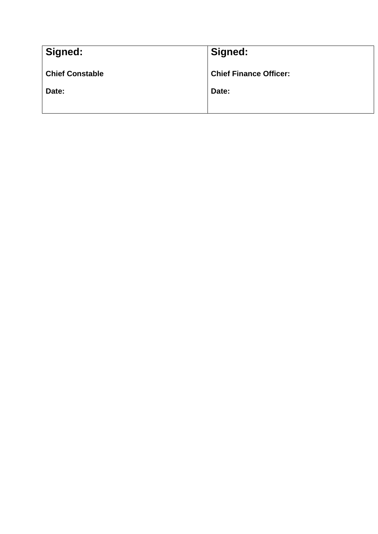| Signed:                | Signed:                       |
|------------------------|-------------------------------|
| <b>Chief Constable</b> | <b>Chief Finance Officer:</b> |
| Date:                  | Date:                         |
|                        |                               |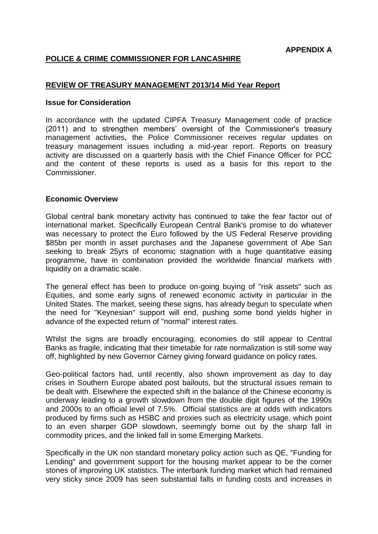## **POLICE & CRIME COMMISSIONER FOR LANCASHIRE**

#### **REVIEW OF TREASURY MANAGEMENT 2013/14 Mid Year Report**

#### **Issue for Consideration**

In accordance with the updated CIPFA Treasury Management code of practice (2011) and to strengthen members' oversight of the Commissioner's treasury management activities, the Police Commissioner receives regular updates on treasury management issues including a mid-year report. Reports on treasury activity are discussed on a quarterly basis with the Chief Finance Officer for PCC and the content of these reports is used as a basis for this report to the Commissioner.

#### **Economic Overview**

Global central bank monetary activity has continued to take the fear factor out of international market. Specifically European Central Bank's promise to do whatever was necessary to protect the Euro followed by the US Federal Reserve providing \$85bn per month in asset purchases and the Japanese government of Abe San seeking to break 25yrs of economic stagnation with a huge quantitative easing programme, have in combination provided the worldwide financial markets with liquidity on a dramatic scale.

The general effect has been to produce on-going buying of "risk assets" such as Equities, and some early signs of renewed economic activity in particular in the United States. The market, seeing these signs, has already begun to speculate when the need for "Keynesian" support will end, pushing some bond yields higher in advance of the expected return of "normal" interest rates.

Whilst the signs are broadly encouraging, economies do still appear to Central Banks as fragile, indicating that their timetable for rate normalization is still some way off, highlighted by new Governor Carney giving forward guidance on policy rates.

Geo-political factors had, until recently, also shown improvement as day to day crises in Southern Europe abated post bailouts, but the structural issues remain to be dealt with. Elsewhere the expected shift in the balance of the Chinese economy is underway leading to a growth slowdown from the double digit figures of the 1990s and 2000s to an official level of 7.5%. Official statistics are at odds with indicators produced by firms such as HSBC and proxies such as electricity usage, which point to an even sharper GDP slowdown, seemingly borne out by the sharp fall in commodity prices, and the linked fall in some Emerging Markets.

Specifically in the UK non standard monetary policy action such as QE, "Funding for Lending" and government support for the housing market appear to be the corner stones of improving UK statistics. The interbank funding market which had remained very sticky since 2009 has seen substantial falls in funding costs and increases in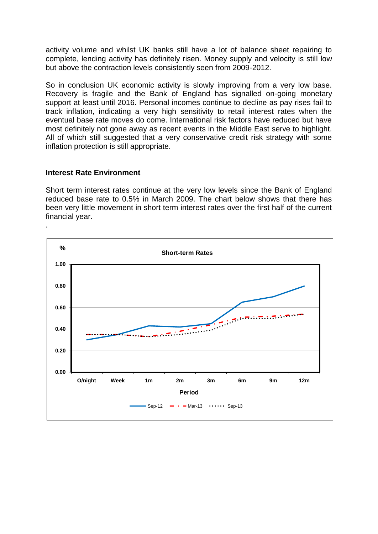activity volume and whilst UK banks still have a lot of balance sheet repairing to complete, lending activity has definitely risen. Money supply and velocity is still low but above the contraction levels consistently seen from 2009-2012.

So in conclusion UK economic activity is slowly improving from a very low base. Recovery is fragile and the Bank of England has signalled on-going monetary support at least until 2016. Personal incomes continue to decline as pay rises fail to track inflation, indicating a very high sensitivity to retail interest rates when the eventual base rate moves do come. International risk factors have reduced but have most definitely not gone away as recent events in the Middle East serve to highlight. All of which still suggested that a very conservative credit risk strategy with some inflation protection is still appropriate.

#### **Interest Rate Environment**

Short term interest rates continue at the very low levels since the Bank of England reduced base rate to 0.5% in March 2009. The chart below shows that there has been very little movement in short term interest rates over the first half of the current financial year.

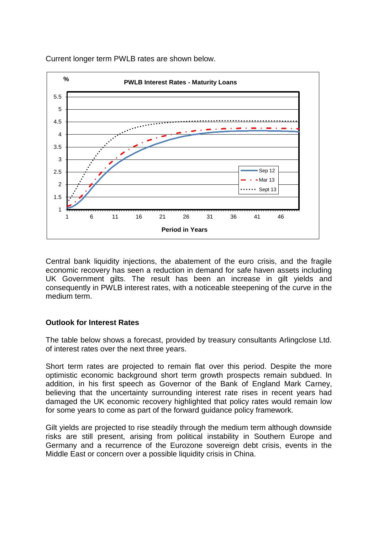

Current longer term PWLB rates are shown below.

Central bank liquidity injections, the abatement of the euro crisis, and the fragile economic recovery has seen a reduction in demand for safe haven assets including UK Government gilts. The result has been an increase in gilt yields and consequently in PWLB interest rates, with a noticeable steepening of the curve in the medium term.

## **Outlook for Interest Rates**

The table below shows a forecast, provided by treasury consultants Arlingclose Ltd. of interest rates over the next three years.

Short term rates are projected to remain flat over this period. Despite the more optimistic economic background short term growth prospects remain subdued. In addition, in his first speech as Governor of the Bank of England Mark Carney, believing that the uncertainty surrounding interest rate rises in recent years had damaged the UK economic recovery highlighted that policy rates would remain low for some years to come as part of the forward guidance policy framework.

Gilt yields are projected to rise steadily through the medium term although downside risks are still present, arising from political instability in Southern Europe and Germany and a recurrence of the Eurozone sovereign debt crisis, events in the Middle East or concern over a possible liquidity crisis in China.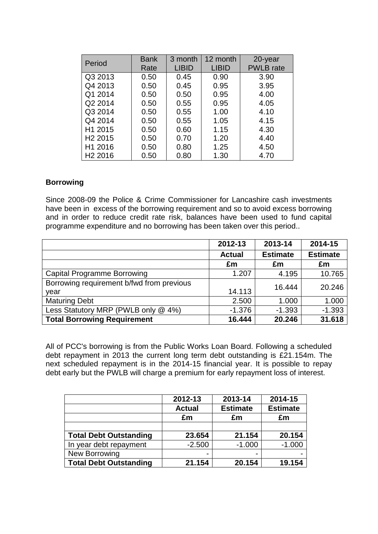| Period              | <b>Bank</b> | 3 month      | 12 month     | 20-year          |
|---------------------|-------------|--------------|--------------|------------------|
|                     | Rate        | <b>LIBID</b> | <b>LIBID</b> | <b>PWLB</b> rate |
| Q3 2013             | 0.50        | 0.45         | 0.90         | 3.90             |
| Q4 2013             | 0.50        | 0.45         | 0.95         | 3.95             |
| Q1 2014             | 0.50        | 0.50         | 0.95         | 4.00             |
| Q2 2014             | 0.50        | 0.55         | 0.95         | 4.05             |
| Q3 2014             | 0.50        | 0.55         | 1.00         | 4.10             |
| Q4 2014             | 0.50        | 0.55         | 1.05         | 4.15             |
| H1 2015             | 0.50        | 0.60         | 1.15         | 4.30             |
| H <sub>2</sub> 2015 | 0.50        | 0.70         | 1.20         | 4.40             |
| H1 2016             | 0.50        | 0.80         | 1.25         | 4.50             |
| H <sub>2</sub> 2016 | 0.50        | 0.80         | 1.30         | 4.70             |

#### **Borrowing**

Since 2008-09 the Police & Crime Commissioner for Lancashire cash investments have been in excess of the borrowing requirement and so to avoid excess borrowing and in order to reduce credit rate risk, balances have been used to fund capital programme expenditure and no borrowing has been taken over this period..

|                                           | 2012-13       | 2013-14         | 2014-15         |
|-------------------------------------------|---------------|-----------------|-----------------|
|                                           | <b>Actual</b> | <b>Estimate</b> | <b>Estimate</b> |
|                                           | £m            | £m              | £m              |
| <b>Capital Programme Borrowing</b>        | 1.207         | 4.195           | 10.765          |
| Borrowing requirement b/fwd from previous |               | 16.444          | 20.246          |
| year                                      | 14.113        |                 |                 |
| <b>Maturing Debt</b>                      | 2.500         | 1.000           | 1.000           |
| Less Statutory MRP (PWLB only @ 4%)       | $-1.376$      | $-1.393$        | $-1.393$        |
| <b>Total Borrowing Requirement</b>        | 16.444        | 20.246          | 31.618          |

All of PCC's borrowing is from the Public Works Loan Board. Following a scheduled debt repayment in 2013 the current long term debt outstanding is £21.154m. The next scheduled repayment is in the 2014-15 financial year. It is possible to repay debt early but the PWLB will charge a premium for early repayment loss of interest.

|                               | 2012-13       | 2013-14         | 2014-15         |
|-------------------------------|---------------|-----------------|-----------------|
|                               | <b>Actual</b> | <b>Estimate</b> | <b>Estimate</b> |
|                               | £m            | £m              | £m              |
|                               |               |                 |                 |
| <b>Total Debt Outstanding</b> | 23.654        | 21.154          | 20.154          |
| In year debt repayment        | $-2.500$      | $-1.000$        | $-1.000$        |
| New Borrowing                 | -             |                 |                 |
| <b>Total Debt Outstanding</b> | 21.154        | 20.154          | 19.154          |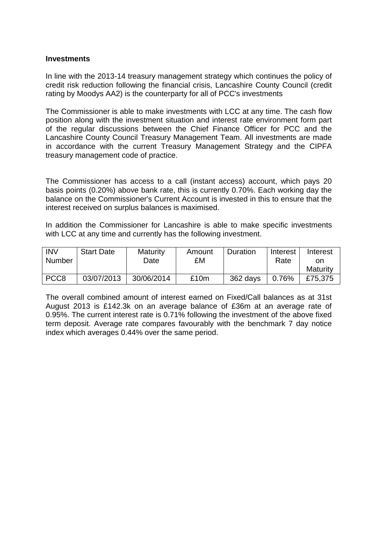#### **Investments**

In line with the 2013-14 treasury management strategy which continues the policy of credit risk reduction following the financial crisis, Lancashire County Council (credit rating by Moodys AA2) is the counterparty for all of PCC's investments

The Commissioner is able to make investments with LCC at any time. The cash flow position along with the investment situation and interest rate environment form part of the regular discussions between the Chief Finance Officer for PCC and the Lancashire County Council Treasury Management Team. All investments are made in accordance with the current Treasury Management Strategy and the CIPFA treasury management code of practice.

The Commissioner has access to a call (instant access) account, which pays 20 basis points (0.20%) above bank rate, this is currently 0.70%. Each working day the balance on the Commissioner's Current Account is invested in this to ensure that the interest received on surplus balances is maximised.

In addition the Commissioner for Lancashire is able to make specific investments with LCC at any time and currently has the following investment.

| <b>INV</b><br>Number | <b>Start Date</b> | Maturity<br>Date | Amount<br>£M | Duration | Interest<br>Rate | Interest<br>on |
|----------------------|-------------------|------------------|--------------|----------|------------------|----------------|
|                      |                   |                  |              |          |                  | Maturity       |
| PCC <sub>8</sub>     | 03/07/2013        | 30/06/2014       | £10m         | 362 days | 0.76%            | £75,375        |

The overall combined amount of interest earned on Fixed/Call balances as at 31st August 2013 is £142.3k on an average balance of £36m at an average rate of 0.95%. The current interest rate is 0.71% following the investment of the above fixed term deposit. Average rate compares favourably with the benchmark 7 day notice index which averages 0.44% over the same period.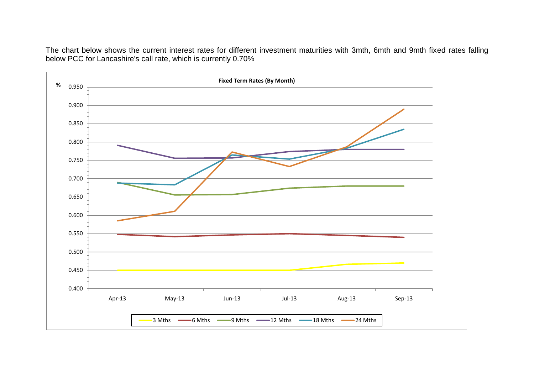The chart below shows the current interest rates for different investment maturities with 3mth, 6mth and 9mth fixed rates falling below PCC for Lancashire's call rate, which is currently 0.70%

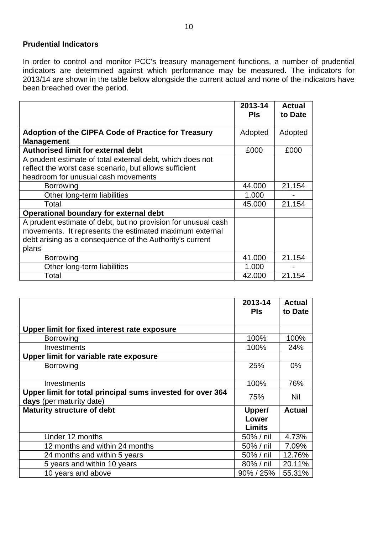## **Prudential Indicators**

In order to control and monitor PCC's treasury management functions, a number of prudential indicators are determined against which performance may be measured. The indicators for 2013/14 are shown in the table below alongside the current actual and none of the indicators have been breached over the period.

|                                                               | 2013-14<br><b>PIS</b> | <b>Actual</b><br>to Date |
|---------------------------------------------------------------|-----------------------|--------------------------|
|                                                               |                       |                          |
| Adoption of the CIPFA Code of Practice for Treasury           | Adopted               | Adopted                  |
| <b>Management</b>                                             |                       |                          |
| Authorised limit for external debt                            | £000                  | £000                     |
| A prudent estimate of total external debt, which does not     |                       |                          |
| reflect the worst case scenario, but allows sufficient        |                       |                          |
| headroom for unusual cash movements                           |                       |                          |
| <b>Borrowing</b>                                              | 44.000                | 21.154                   |
| Other long-term liabilities                                   | 1.000                 |                          |
| Total                                                         | 45.000                | 21.154                   |
| Operational boundary for external debt                        |                       |                          |
| A prudent estimate of debt, but no provision for unusual cash |                       |                          |
| movements. It represents the estimated maximum external       |                       |                          |
| debt arising as a consequence of the Authority's current      |                       |                          |
| plans                                                         |                       |                          |
| Borrowing                                                     | 41.000                | 21.154                   |
| Other long-term liabilities                                   | 1.000                 |                          |
| Total                                                         | 42.000                | 21.154                   |

|                                                                                        | 2013-14<br><b>PIs</b>     | <b>Actual</b><br>to Date |
|----------------------------------------------------------------------------------------|---------------------------|--------------------------|
| Upper limit for fixed interest rate exposure                                           |                           |                          |
| <b>Borrowing</b>                                                                       | 100%                      | 100%                     |
| Investments                                                                            | 100%                      | 24%                      |
| Upper limit for variable rate exposure                                                 |                           |                          |
| <b>Borrowing</b>                                                                       | 25%                       | 0%                       |
| Investments                                                                            | 100%                      | 76%                      |
| Upper limit for total principal sums invested for over 364<br>days (per maturity date) | 75%                       | Nil                      |
| <b>Maturity structure of debt</b>                                                      | Upper/<br>Lower<br>Limits | <b>Actual</b>            |
| Under 12 months                                                                        | 50% / nil                 | 4.73%                    |
| 12 months and within 24 months                                                         | 50% / nil                 | 7.09%                    |
| 24 months and within 5 years                                                           | 50% / nil                 | 12.76%                   |
| 5 years and within 10 years                                                            | 80% / nil                 | 20.11%                   |
| 10 years and above                                                                     | 90% / 25%                 | 55.31%                   |